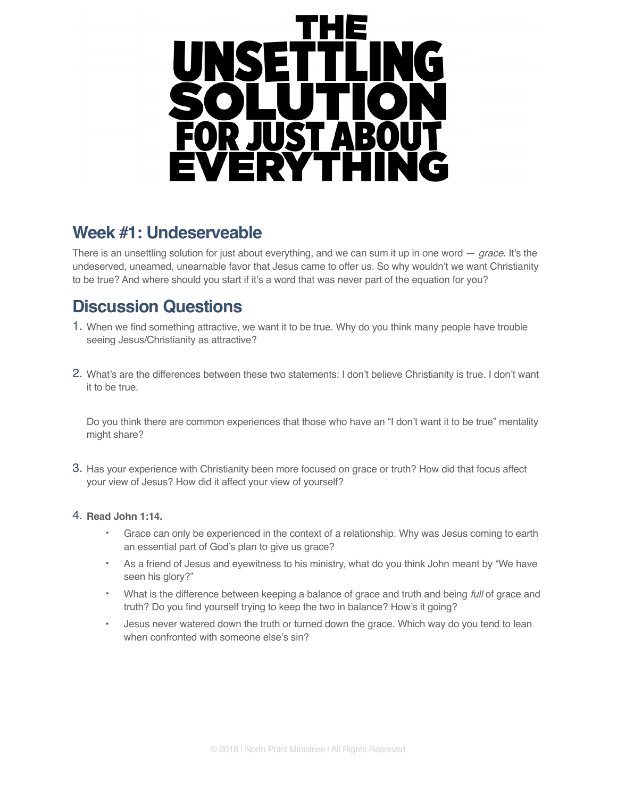

# **Week #1: Undeserveable**

There is an unsettling solution for just about everything, and we can sum it up in one word — *grace*. It's the undeserved, unearned, unearnable favor that Jesus came to offer us. So why wouldn't we want Christianity to be true? And where should you start if it's a word that was never part of the equation for you?

# **Discussion Questions**

- 1. When we find something attractive, we want it to be true. Why do you think many people have trouble seeing Jesus/Christianity as attractive?
- 2. What's are the differences between these two statements: I don't believe Christianity is true. I don't want it to be true.

Do you think there are common experiences that those who have an "I don't want it to be true" mentality might share?

3. Has your experience with Christianity been more focused on grace or truth? How did that focus affect your view of Jesus? How did it affect your view of yourself?

## 4. **Read John 1:14.**

- Grace can only be experienced in the context of a relationship. Why was Jesus coming to earth an essential part of God's plan to give us grace?
- As a friend of Jesus and eyewitness to his ministry, what do you think John meant by "We have seen his glory?"
- What is the difference between keeping a balance of grace and truth and being *full* of grace and truth? Do you find yourself trying to keep the two in balance? How's it going?
- Jesus never watered down the truth or turned down the grace. Which way do you tend to lean when confronted with someone else's sin?